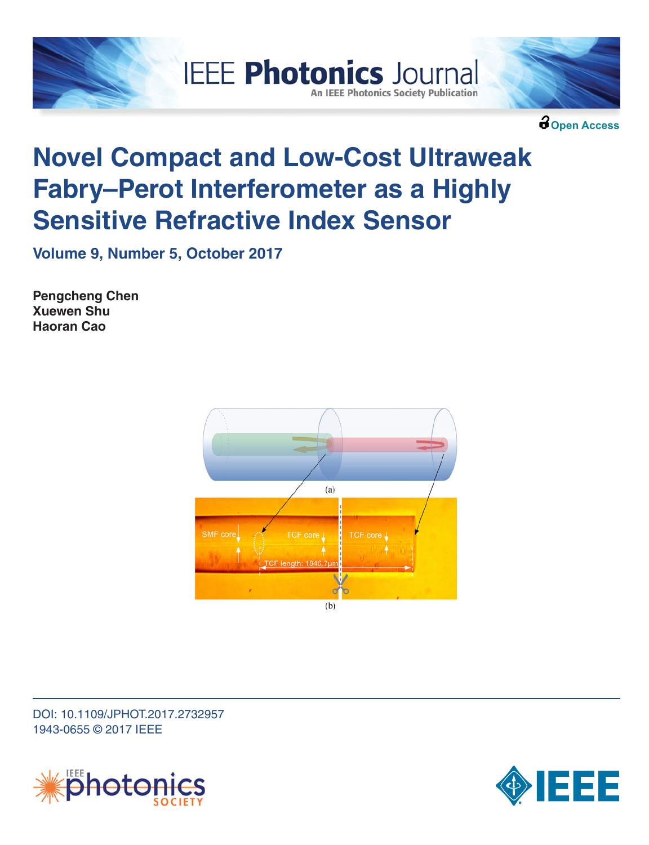



**Open Access**

# **Novel Compact and Low-Cost Ultraweak Fabry–Perot Interferometer as a Highly Sensitive Refractive Index Sensor**

**IEEE Photonics Journal** 

**An IEEE Photonics Society Publication** 

**Volume 9, Number 5, October 2017**

**Pengcheng Chen Xuewen Shu Haoran Cao**



DOI: 10.1109/JPHOT.2017.2732957 1943-0655 © 2017 IEEE



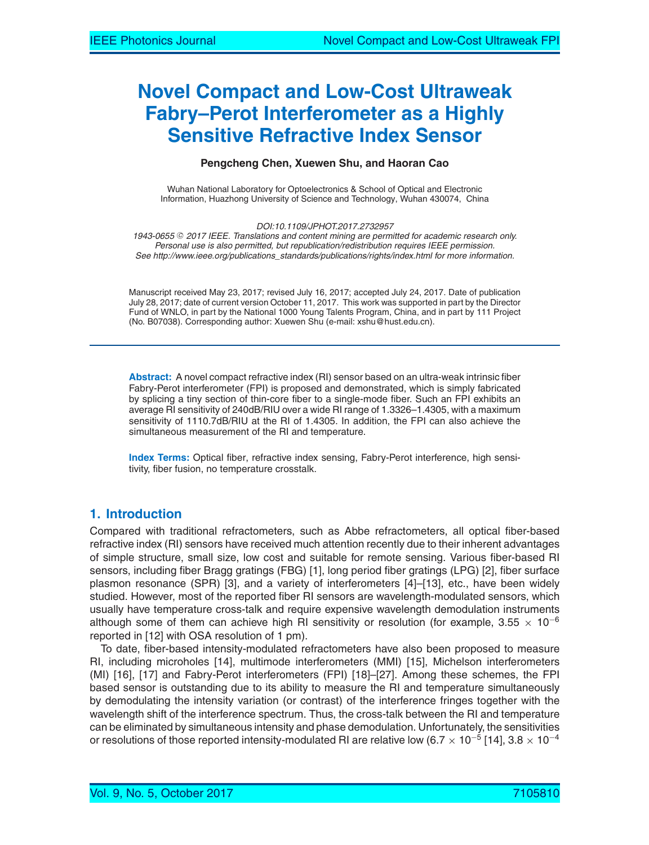# **Novel Compact and Low-Cost Ultraweak Fabry–Perot Interferometer as a Highly Sensitive Refractive Index Sensor**

#### **Pengcheng Chen, Xuewen Shu, and Haoran Cao**

Wuhan National Laboratory for Optoelectronics & School of Optical and Electronic Information, Huazhong University of Science and Technology, Wuhan 430074, China

*DOI:10.1109/JPHOT.2017.2732957*

1943-0655 © 2017 IEEE. Translations and content mining are permitted for academic research only. *Personal use is also permitted, but republication/redistribution requires IEEE permission. See http://www.ieee.org/publications\_standards/publications/rights/index.html for more information.*

Manuscript received May 23, 2017; revised July 16, 2017; accepted July 24, 2017. Date of publication July 28, 2017; date of current version October 11, 2017. This work was supported in part by the Director Fund of WNLO, in part by the National 1000 Young Talents Program, China, and in part by 111 Project (No. B07038). Corresponding author: Xuewen Shu (e-mail: xshu@hust.edu.cn).

**Abstract:** A novel compact refractive index (RI) sensor based on an ultra-weak intrinsic fiber Fabry-Perot interferometer (FPI) is proposed and demonstrated, which is simply fabricated by splicing a tiny section of thin-core fiber to a single-mode fiber. Such an FPI exhibits an average RI sensitivity of 240dB/RIU over a wide RI range of 1.3326–1.4305, with a maximum sensitivity of 1110.7dB/RIU at the RI of 1.4305. In addition, the FPI can also achieve the simultaneous measurement of the RI and temperature.

**Index Terms:** Optical fiber, refractive index sensing, Fabry-Perot interference, high sensitivity, fiber fusion, no temperature crosstalk.

# **1. Introduction**

Compared with traditional refractometers, such as Abbe refractometers, all optical fiber-based refractive index (RI) sensors have received much attention recently due to their inherent advantages of simple structure, small size, low cost and suitable for remote sensing. Various fiber-based RI sensors, including fiber Bragg gratings (FBG) [1], long period fiber gratings (LPG) [2], fiber surface plasmon resonance (SPR) [3], and a variety of interferometers [4]–[13], etc., have been widely studied. However, most of the reported fiber RI sensors are wavelength-modulated sensors, which usually have temperature cross-talk and require expensive wavelength demodulation instruments although some of them can achieve high RI sensitivity or resolution (for example, 3.55  $\times$  10<sup>-6</sup> reported in [12] with OSA resolution of 1 pm).

To date, fiber-based intensity-modulated refractometers have also been proposed to measure RI, including microholes [14], multimode interferometers (MMI) [15], Michelson interferometers (MI) [16], [17] and Fabry-Perot interferometers (FPI) [18]–[27]. Among these schemes, the FPI based sensor is outstanding due to its ability to measure the RI and temperature simultaneously by demodulating the intensity variation (or contrast) of the interference fringes together with the wavelength shift of the interference spectrum. Thus, the cross-talk between the RI and temperature can be eliminated by simultaneous intensity and phase demodulation. Unfortunately, the sensitivities or resolutions of those reported intensity-modulated RI are relative low (6.7  $\times$  10<sup>-5</sup> [14], 3.8  $\times$  10<sup>-4</sup>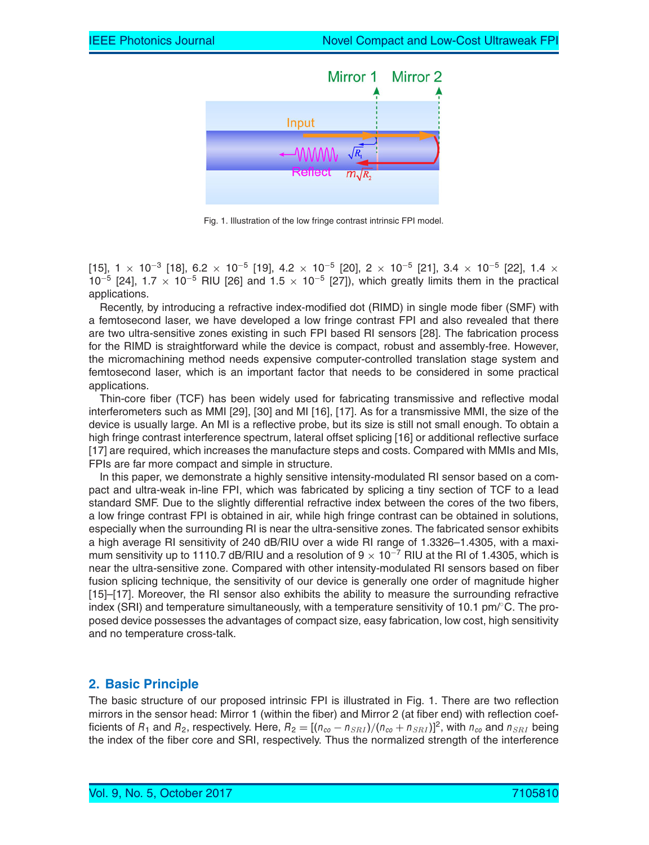

Fig. 1. Illustration of the low fringe contrast intrinsic FPI model.

 $[15]$ , 1  $\times$  10<sup>-3</sup> [18], 6.2  $\times$  10<sup>-5</sup> [19], 4.2  $\times$  10<sup>-5</sup> [20], 2  $\times$  10<sup>-5</sup> [21], 3.4  $\times$  10<sup>-5</sup> [22], 1.4  $\times$  $10^{-5}$  [24], 1.7 × 10<sup>-5</sup> RIU [26] and 1.5 × 10<sup>-5</sup> [27]), which greatly limits them in the practical applications.

Recently, by introducing a refractive index-modified dot (RIMD) in single mode fiber (SMF) with a femtosecond laser, we have developed a low fringe contrast FPI and also revealed that there are two ultra-sensitive zones existing in such FPI based RI sensors [28]. The fabrication process for the RIMD is straightforward while the device is compact, robust and assembly-free. However, the micromachining method needs expensive computer-controlled translation stage system and femtosecond laser, which is an important factor that needs to be considered in some practical applications.

Thin-core fiber (TCF) has been widely used for fabricating transmissive and reflective modal interferometers such as MMI [29], [30] and MI [16], [17]. As for a transmissive MMI, the size of the device is usually large. An MI is a reflective probe, but its size is still not small enough. To obtain a high fringe contrast interference spectrum, lateral offset splicing [16] or additional reflective surface [17] are required, which increases the manufacture steps and costs. Compared with MMIs and MIs, FPIs are far more compact and simple in structure.

In this paper, we demonstrate a highly sensitive intensity-modulated RI sensor based on a compact and ultra-weak in-line FPI, which was fabricated by splicing a tiny section of TCF to a lead standard SMF. Due to the slightly differential refractive index between the cores of the two fibers, a low fringe contrast FPI is obtained in air, while high fringe contrast can be obtained in solutions, especially when the surrounding RI is near the ultra-sensitive zones. The fabricated sensor exhibits a high average RI sensitivity of 240 dB/RIU over a wide RI range of 1.3326–1.4305, with a maximum sensitivity up to 1110.7 dB/RIU and a resolution of 9  $\times$  10<sup>-7</sup> RIU at the RI of 1.4305, which is near the ultra-sensitive zone. Compared with other intensity-modulated RI sensors based on fiber fusion splicing technique, the sensitivity of our device is generally one order of magnitude higher [15]–[17]. Moreover, the RI sensor also exhibits the ability to measure the surrounding refractive index (SRI) and temperature simultaneously, with a temperature sensitivity of 10.1 pm/ $^{\circ}$ C. The proposed device possesses the advantages of compact size, easy fabrication, low cost, high sensitivity and no temperature cross-talk.

# **2. Basic Principle**

The basic structure of our proposed intrinsic FPI is illustrated in Fig. 1. There are two reflection mirrors in the sensor head: Mirror 1 (within the fiber) and Mirror 2 (at fiber end) with reflection coefficients of  $R_1$  and  $R_2$ , respectively. Here,  $R_2 = [(n_{co} - n_{SRI})/(n_{co} + n_{SRI})]^2$ , with  $n_{co}$  and  $n_{SRI}$  being the index of the fiber core and SRI, respectively. Thus the normalized strength of the interference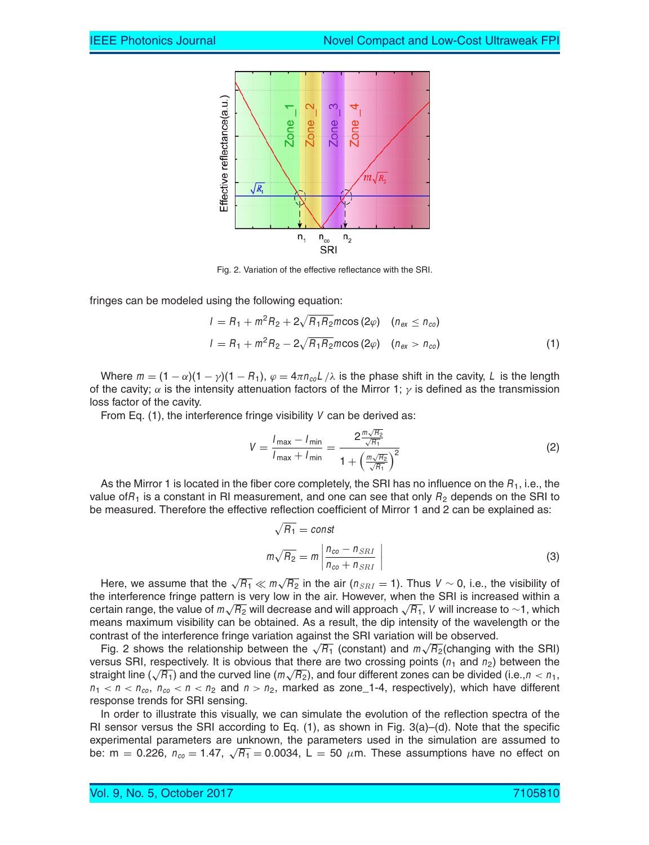

Fig. 2. Variation of the effective reflectance with the SRI.

fringes can be modeled using the following equation:

$$
I = R_1 + m^2 R_2 + 2\sqrt{R_1 R_2} m \cos(2\varphi) \quad (n_{\text{ex}} \le n_{\text{co}})
$$
  

$$
I = R_1 + m^2 R_2 - 2\sqrt{R_1 R_2} m \cos(2\varphi) \quad (n_{\text{ex}} > n_{\text{co}})
$$
 (1)

Where  $m = (1 - \alpha)(1 - \gamma)(1 - R_1)$ ,  $\varphi = 4\pi n_{\text{col}}/\lambda$  is the phase shift in the cavity, L is the length of the cavity;  $\alpha$  is the intensity attenuation factors of the Mirror 1;  $\gamma$  is defined as the transmission loss factor of the cavity.

From Eq. (1), the interference fringe visibility *V* can be derived as:

$$
V = \frac{I_{\text{max}} - I_{\text{min}}}{I_{\text{max}} + I_{\text{min}}} = \frac{2 \frac{m \sqrt{R_2}}{\sqrt{R_1}}}{1 + \left(\frac{m \sqrt{R_2}}{\sqrt{R_1}}\right)^2}
$$
(2)

As the Mirror 1 is located in the fiber core completely, the SRI has no influence on the *R*1, i.e., the value of $R_1$  is a constant in RI measurement, and one can see that only  $R_2$  depends on the SRI to be measured. Therefore the effective reflection coefficient of Mirror 1 and 2 can be explained as:

$$
\sqrt{R_1} = \text{const}
$$
  

$$
m\sqrt{R_2} = m\left|\frac{n_{co} - n_{SRI}}{n_{co} + n_{SRI}}\right|
$$
 (3)

Here, we assume that the  $\sqrt{R_1} \ll m\sqrt{R_2}$  in the air ( $n_{SRI} = 1$ ). Thus  $V \sim 0$ , i.e., the visibility of the interference fringe pattern is very low in the air. However, when the SRI is increased within a certain range, the value of *<sup>m</sup>*√*R*<sup>2</sup> will decrease and will approach <sup>√</sup>*R*1, *<sup>V</sup>* will increase to <sup>∼</sup>1, which means maximum visibility can be obtained. As a result, the dip intensity of the wavelength or the contrast of the interference fringe variation against the SRI variation will be observed.

Fig. 2 shows the relationship between the  $\sqrt{R_1}$  (constant) and  $m\sqrt{R_2}$  (changing with the SRI) versus SRI, respectively. It is obvious that there are two crossing points ( $n_1$  and  $n_2$ ) between the straight line ( $\sqrt{R_1}$ ) and the curved line ( $m\sqrt{R_2}$ ), and four different zones can be divided (i.e.,  $n < n_1$ ,  $n_1 < n < n_{co}$ ,  $n_{co} < n < n_2$  and  $n > n_2$ , marked as zone 1-4, respectively), which have different response trends for SRI sensing.

In order to illustrate this visually, we can simulate the evolution of the reflection spectra of the RI sensor versus the SRI according to Eq.  $(1)$ , as shown in Fig.  $3(a)$ – $(d)$ . Note that the specific experimental parameters are unknown, the parameters used in the simulation are assumed to be: m = 0.226,  $n_{co} = 1.47$ ,  $\sqrt{R_1} = 0.0034$ , L = 50  $\mu$ m. These assumptions have no effect on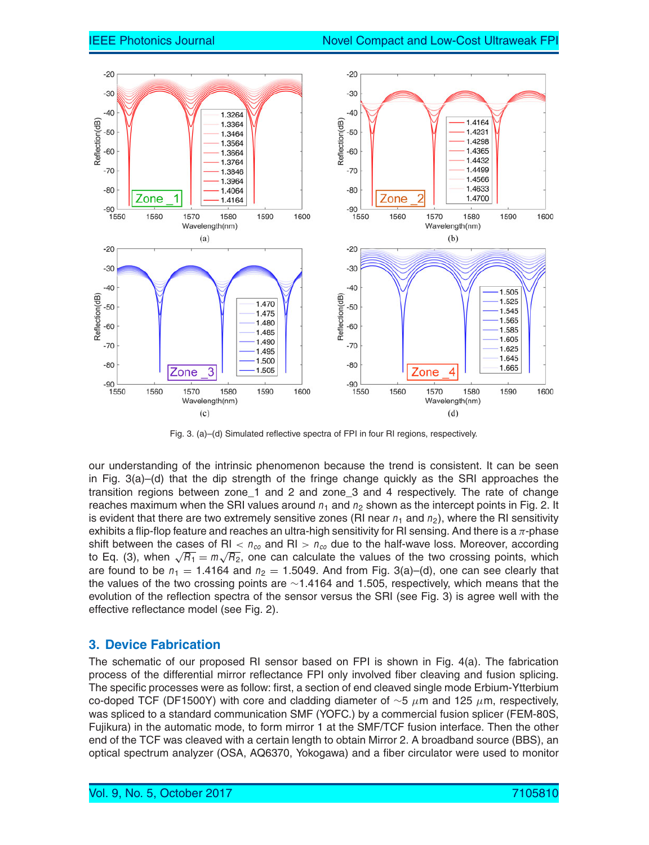

Fig. 3. (a)–(d) Simulated reflective spectra of FPI in four RI regions, respectively.

our understanding of the intrinsic phenomenon because the trend is consistent. It can be seen in Fig. 3(a)–(d) that the dip strength of the fringe change quickly as the SRI approaches the transition regions between zone\_1 and 2 and zone\_3 and 4 respectively. The rate of change reaches maximum when the SRI values around  $n_1$  and  $n_2$  shown as the intercept points in Fig. 2. It is evident that there are two extremely sensitive zones (RI near  $n_1$  and  $n_2$ ), where the RI sensitivity exhibits a flip-flop feature and reaches an ultra-high sensitivity for RI sensing. And there is a  $\pi$ -phase shift between the cases of RI  $< n_{co}$  and RI  $> n_{co}$  due to the half-wave loss. Moreover, according to Eq. (3), when  $\sqrt{R_1} = m\sqrt{R_2}$ , one can calculate the values of the two crossing points, which are found to be  $n_1 = 1.4164$  and  $n_2 = 1.5049$ . And from Fig. 3(a)–(d), one can see clearly that the values of the two crossing points are ∼1.4164 and 1.505, respectively, which means that the evolution of the reflection spectra of the sensor versus the SRI (see Fig. 3) is agree well with the effective reflectance model (see Fig. 2).

### **3. Device Fabrication**

The schematic of our proposed RI sensor based on FPI is shown in Fig. 4(a). The fabrication process of the differential mirror reflectance FPI only involved fiber cleaving and fusion splicing. The specific processes were as follow: first, a section of end cleaved single mode Erbium-Ytterbium co-doped TCF (DF1500Y) with core and cladding diameter of  $\sim$ 5  $\mu$ m and 125  $\mu$ m, respectively, was spliced to a standard communication SMF (YOFC.) by a commercial fusion splicer (FEM-80S, Fujikura) in the automatic mode, to form mirror 1 at the SMF/TCF fusion interface. Then the other end of the TCF was cleaved with a certain length to obtain Mirror 2. A broadband source (BBS), an optical spectrum analyzer (OSA, AQ6370, Yokogawa) and a fiber circulator were used to monitor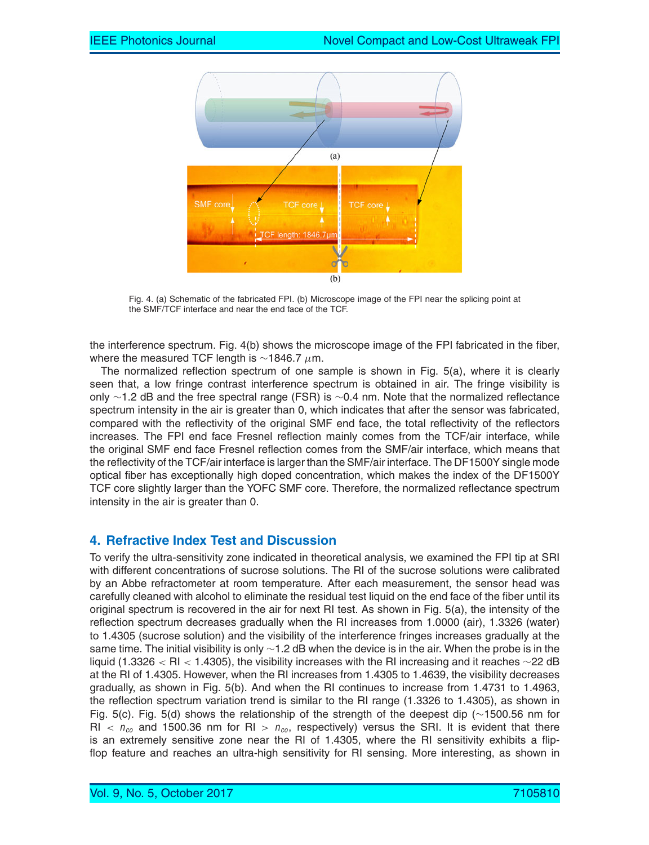

Fig. 4. (a) Schematic of the fabricated FPI. (b) Microscope image of the FPI near the splicing point at the SMF/TCF interface and near the end face of the TCF.

the interference spectrum. Fig. 4(b) shows the microscope image of the FPI fabricated in the fiber, where the measured TCF length is  $\sim$ 1846.7 µm.

The normalized reflection spectrum of one sample is shown in Fig. 5(a), where it is clearly seen that, a low fringe contrast interference spectrum is obtained in air. The fringe visibility is only ∼1.2 dB and the free spectral range (FSR) is ∼0.4 nm. Note that the normalized reflectance spectrum intensity in the air is greater than 0, which indicates that after the sensor was fabricated, compared with the reflectivity of the original SMF end face, the total reflectivity of the reflectors increases. The FPI end face Fresnel reflection mainly comes from the TCF/air interface, while the original SMF end face Fresnel reflection comes from the SMF/air interface, which means that the reflectivity of the TCF/air interface is larger than the SMF/air interface. The DF1500Y single mode optical fiber has exceptionally high doped concentration, which makes the index of the DF1500Y TCF core slightly larger than the YOFC SMF core. Therefore, the normalized reflectance spectrum intensity in the air is greater than 0.

# **4. Refractive Index Test and Discussion**

To verify the ultra-sensitivity zone indicated in theoretical analysis, we examined the FPI tip at SRI with different concentrations of sucrose solutions. The RI of the sucrose solutions were calibrated by an Abbe refractometer at room temperature. After each measurement, the sensor head was carefully cleaned with alcohol to eliminate the residual test liquid on the end face of the fiber until its original spectrum is recovered in the air for next RI test. As shown in Fig. 5(a), the intensity of the reflection spectrum decreases gradually when the RI increases from 1.0000 (air), 1.3326 (water) to 1.4305 (sucrose solution) and the visibility of the interference fringes increases gradually at the same time. The initial visibility is only ∼1.2 dB when the device is in the air. When the probe is in the liquid (1.3326 < RI < 1.4305), the visibility increases with the RI increasing and it reaches ∼22 dB at the RI of 1.4305. However, when the RI increases from 1.4305 to 1.4639, the visibility decreases gradually, as shown in Fig. 5(b). And when the RI continues to increase from 1.4731 to 1.4963, the reflection spectrum variation trend is similar to the RI range (1.3326 to 1.4305), as shown in Fig. 5(c). Fig. 5(d) shows the relationship of the strength of the deepest dip (∼1500.56 nm for  $R_{\text{I}}$  <  $n_{\text{co}}$  and 1500.36 nm for RI >  $n_{\text{co}}$ , respectively) versus the SRI. It is evident that there is an extremely sensitive zone near the RI of 1.4305, where the RI sensitivity exhibits a flipflop feature and reaches an ultra-high sensitivity for RI sensing. More interesting, as shown in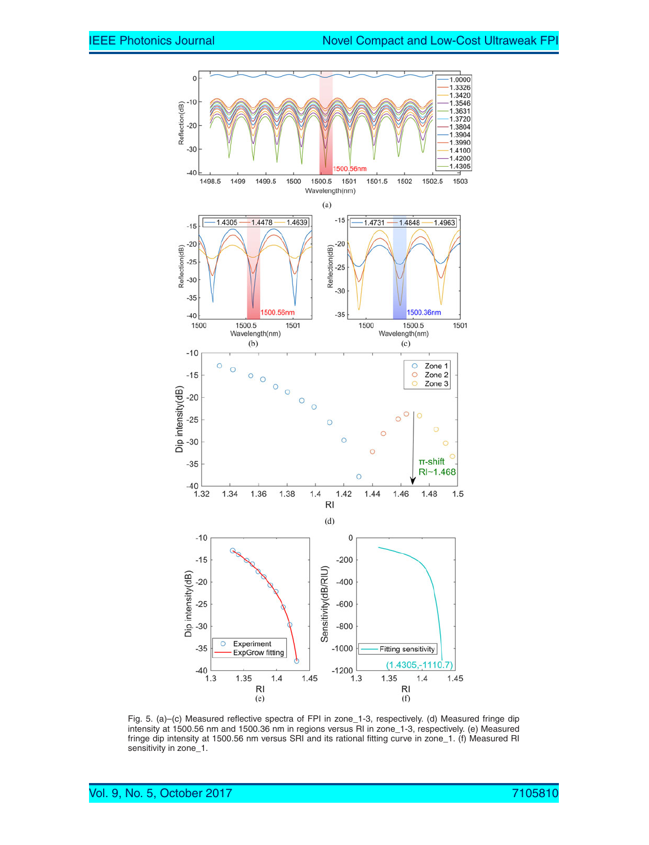

Fig. 5. (a)–(c) Measured reflective spectra of FPI in zone\_1-3, respectively. (d) Measured fringe dip intensity at 1500.56 nm and 1500.36 nm in regions versus RI in zone\_1-3, respectively. (e) Measured fringe dip intensity at 1500.56 nm versus SRI and its rational fitting curve in zone\_1. (f) Measured RI sensitivity in zone\_1.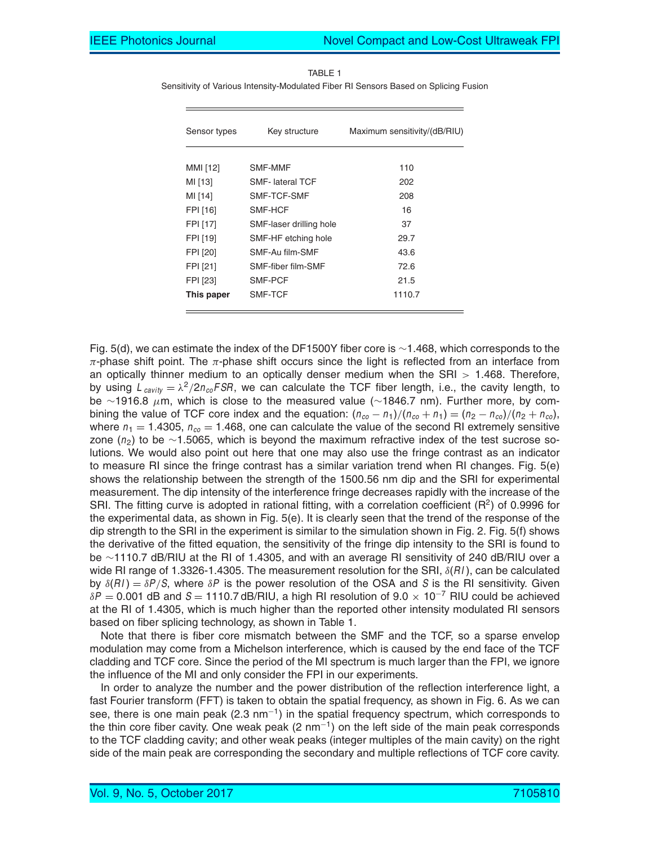| Sensor types | Key structure           | Maximum sensitivity/(dB/RIU) |
|--------------|-------------------------|------------------------------|
| MMI [12]     | SMF-MMF                 | 110                          |
| MI [13]      | <b>SMF-</b> lateral TCF | 202                          |
| MI [14]      | SMF-TCF-SMF             | 208                          |
| FPI [16]     | SMF-HCF                 | 16                           |
| FPI [17]     | SMF-laser drilling hole | 37                           |
| FPI [19]     | SMF-HF etching hole     | 29.7                         |
| FPI [20]     | SMF-Au film-SMF         | 43.6                         |
| FPI [21]     | SMF-fiber film-SMF      | 72.6                         |
| FPI [23]     | SMF-PCF                 | 21.5                         |
| This paper   | SMF-TCF                 | 1110.7                       |

TABLE 1 Sensitivity of Various Intensity-Modulated Fiber RI Sensors Based on Splicing Fusion

Fig. 5(d), we can estimate the index of the DF1500Y fiber core is ∼1.468, which corresponds to the  $\pi$ -phase shift point. The  $\pi$ -phase shift occurs since the light is reflected from an interface from an optically thinner medium to an optically denser medium when the  $SRI > 1.468$ . Therefore, by using  $L_{cavity} = \lambda^2/2n_{co}FSR$ , we can calculate the TCF fiber length, i.e., the cavity length, to be ∼1916.8 μm, which is close to the measured value (∼1846.7 nm). Further more, by combining the value of TCF core index and the equation:  $(n_{co} - n_1)/(n_{co} + n_1) = (n_2 - n_{co})/(n_2 + n_{co})$ , where  $n_1 = 1.4305$ ,  $n_{co} = 1.468$ , one can calculate the value of the second RI extremely sensitive zone (*n*2) to be ∼1.5065, which is beyond the maximum refractive index of the test sucrose solutions. We would also point out here that one may also use the fringe contrast as an indicator to measure RI since the fringe contrast has a similar variation trend when RI changes. Fig. 5(e) shows the relationship between the strength of the 1500.56 nm dip and the SRI for experimental measurement. The dip intensity of the interference fringe decreases rapidly with the increase of the SRI. The fitting curve is adopted in rational fitting, with a correlation coefficient ( $R^2$ ) of 0.9996 for the experimental data, as shown in Fig. 5(e). It is clearly seen that the trend of the response of the dip strength to the SRI in the experiment is similar to the simulation shown in Fig. 2. Fig. 5(f) shows the derivative of the fitted equation, the sensitivity of the fringe dip intensity to the SRI is found to be ∼1110.7 dB/RIU at the RI of 1.4305, and with an average RI sensitivity of 240 dB/RIU over a wide RI range of 1.3326-1.4305. The measurement resolution for the SRI, δ(*RI* ), can be calculated by  $\delta(RI) = \delta P/S$ , where  $\delta P$  is the power resolution of the OSA and *S* is the RI sensitivity. Given <sup>δ</sup>*<sup>P</sup>* <sup>=</sup> 0.001 dB and *<sup>S</sup>* <sup>=</sup> 1110.7 dB/RIU, a high RI resolution of 9.0 <sup>×</sup> <sup>10</sup>−<sup>7</sup> RIU could be achieved at the RI of 1.4305, which is much higher than the reported other intensity modulated RI sensors based on fiber splicing technology, as shown in Table 1.

Note that there is fiber core mismatch between the SMF and the TCF, so a sparse envelop modulation may come from a Michelson interference, which is caused by the end face of the TCF cladding and TCF core. Since the period of the MI spectrum is much larger than the FPI, we ignore the influence of the MI and only consider the FPI in our experiments.

In order to analyze the number and the power distribution of the reflection interference light, a fast Fourier transform (FFT) is taken to obtain the spatial frequency, as shown in Fig. 6. As we can see, there is one main peak (2.3 nm<sup>-1</sup>) in the spatial frequency spectrum, which corresponds to the thin core fiber cavity. One weak peak  $(2 \text{ nm}^{-1})$  on the left side of the main peak corresponds to the TCF cladding cavity; and other weak peaks (integer multiples of the main cavity) on the right side of the main peak are corresponding the secondary and multiple reflections of TCF core cavity.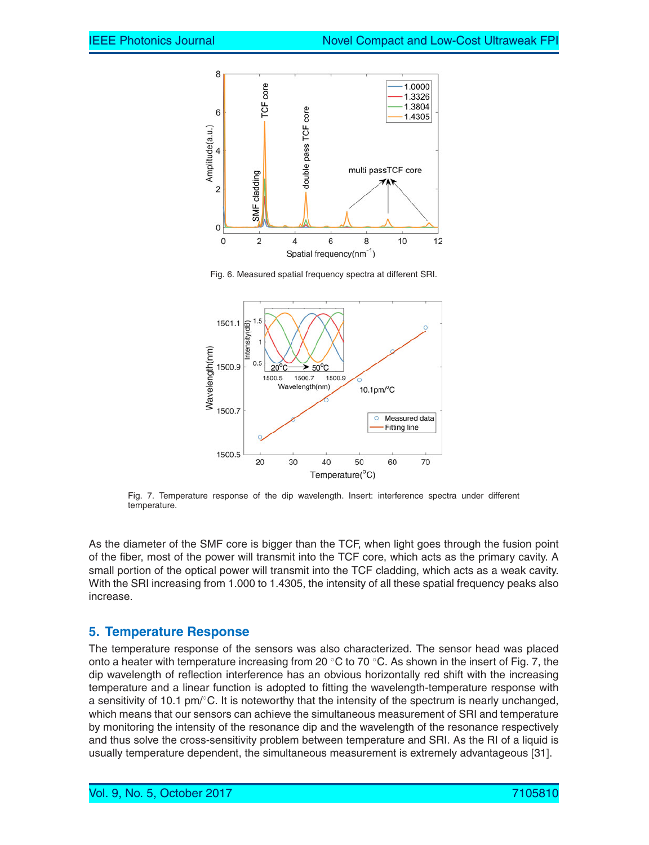

Fig. 6. Measured spatial frequency spectra at different SRI.



Fig. 7. Temperature response of the dip wavelength. Insert: interference spectra under different temperature.

As the diameter of the SMF core is bigger than the TCF, when light goes through the fusion point of the fiber, most of the power will transmit into the TCF core, which acts as the primary cavity. A small portion of the optical power will transmit into the TCF cladding, which acts as a weak cavity. With the SRI increasing from 1.000 to 1.4305, the intensity of all these spatial frequency peaks also increase.

#### **5. Temperature Response**

The temperature response of the sensors was also characterized. The sensor head was placed onto a heater with temperature increasing from 20  $\degree$ C to 70  $\degree$ C. As shown in the insert of Fig. 7, the dip wavelength of reflection interference has an obvious horizontally red shift with the increasing temperature and a linear function is adopted to fitting the wavelength-temperature response with a sensitivity of 10.1 pm/℃. It is noteworthy that the intensity of the spectrum is nearly unchanged, which means that our sensors can achieve the simultaneous measurement of SRI and temperature by monitoring the intensity of the resonance dip and the wavelength of the resonance respectively and thus solve the cross-sensitivity problem between temperature and SRI. As the RI of a liquid is usually temperature dependent, the simultaneous measurement is extremely advantageous [31].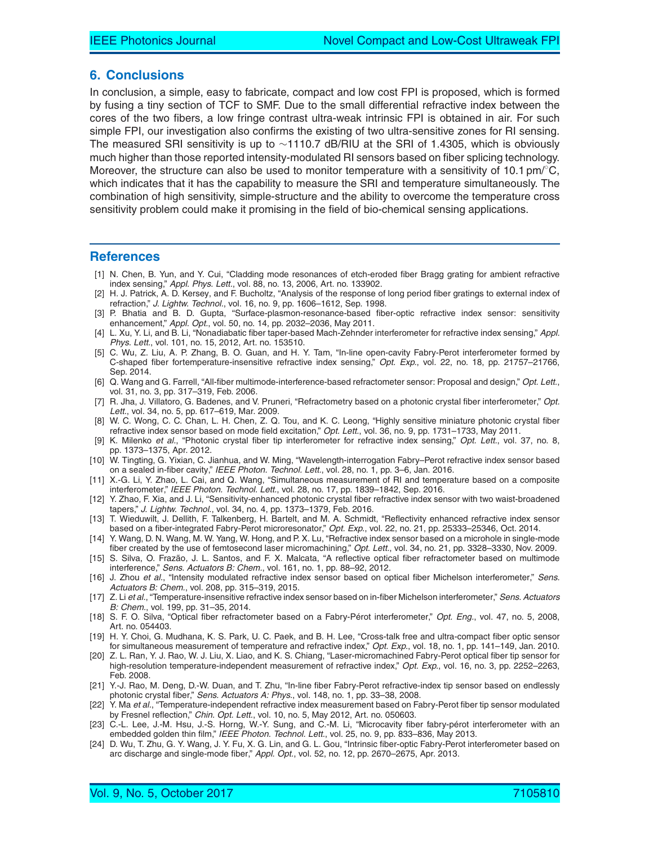#### **6. Conclusions**

In conclusion, a simple, easy to fabricate, compact and low cost FPI is proposed, which is formed by fusing a tiny section of TCF to SMF. Due to the small differential refractive index between the cores of the two fibers, a low fringe contrast ultra-weak intrinsic FPI is obtained in air. For such simple FPI, our investigation also confirms the existing of two ultra-sensitive zones for RI sensing. The measured SRI sensitivity is up to ∼1110.7 dB/RIU at the SRI of 1.4305, which is obviously much higher than those reported intensity-modulated RI sensors based on fiber splicing technology. Moreover, the structure can also be used to monitor temperature with a sensitivity of 10.1 pm/ $^{\circ}$ C, which indicates that it has the capability to measure the SRI and temperature simultaneously. The combination of high sensitivity, simple-structure and the ability to overcome the temperature cross sensitivity problem could make it promising in the field of bio-chemical sensing applications.

#### **References**

- [1] N. Chen, B. Yun, and Y. Cui, "Cladding mode resonances of etch-eroded fiber Bragg grating for ambient refractive index sensing," *Appl. Phys. Lett.*, vol. 88, no. 13, 2006, Art. no. 133902.
- [2] H. J. Patrick, A. D. Kersey, and F. Bucholtz, "Analysis of the response of long period fiber gratings to external index of refraction," *J. Lightw. Technol.*, vol. 16, no. 9, pp. 1606–1612, Sep. 1998.
- [3] P. Bhatia and B. D. Gupta, "Surface-plasmon-resonance-based fiber-optic refractive index sensor: sensitivity enhancement," *Appl. Opt.*, vol. 50, no. 14, pp. 2032–2036, May 2011.
- [4] L. Xu, Y. Li, and B. Li, "Nonadiabatic fiber taper-based Mach-Zehnder interferometer for refractive index sensing," *Appl. Phys. Lett.*, vol. 101, no. 15, 2012, Art. no. 153510.
- [5] C. Wu, Z. Liu, A. P. Zhang, B. O. Guan, and H. Y. Tam, "In-line open-cavity Fabry-Perot interferometer formed by C-shaped fiber fortemperature-insensitive refractive index sensing," *Opt. Exp.*, vol. 22, no. 18, pp. 21757–21766, Sep. 2014.
- [6] Q. Wang and G. Farrell, "All-fiber multimode-interference-based refractometer sensor: Proposal and design," *Opt. Lett.*, vol. 31, no. 3, pp. 317–319, Feb. 2006.
- [7] R. Jha, J. Villatoro, G. Badenes, and V. Pruneri, "Refractometry based on a photonic crystal fiber interferometer," *Opt. Lett.*, vol. 34, no. 5, pp. 617–619, Mar. 2009.
- [8] W. C. Wong, C. C. Chan, L. H. Chen, Z. Q. Tou, and K. C. Leong, "Highly sensitive miniature photonic crystal fiber refractive index sensor based on mode field excitation," *Opt. Lett.*, vol. 36, no. 9, pp. 1731–1733, May 2011.
- [9] K. Milenko *et al.*, "Photonic crystal fiber tip interferometer for refractive index sensing," *Opt. Lett.*, vol. 37, no. 8, pp. 1373–1375, Apr. 2012.
- [10] W. Tingting, G. Yixian, C. Jianhua, and W. Ming, "Wavelength-interrogation Fabry–Perot refractive index sensor based on a sealed in-fiber cavity," *IEEE Photon. Technol. Lett.*, vol. 28, no. 1, pp. 3–6, Jan. 2016.
- [11] X.-G. Li, Y. Zhao, L. Cai, and Q. Wang, "Simultaneous measurement of RI and temperature based on a composite interferometer," *IEEE Photon. Technol. Lett.*, vol. 28, no. 17, pp. 1839–1842, Sep. 2016.
- [12] Y. Zhao, F. Xia, and J. Li, "Sensitivity-enhanced photonic crystal fiber refractive index sensor with two waist-broadened tapers," *J. Lightw. Technol.*, vol. 34, no. 4, pp. 1373–1379, Feb. 2016.
- [13] T. Wieduwilt, J. Dellith, F. Talkenberg, H. Bartelt, and M. A. Schmidt, "Reflectivity enhanced refractive index sensor based on a fiber-integrated Fabry-Perot microresonator," *Opt. Exp.*, vol. 22, no. 21, pp. 25333–25346, Oct. 2014.
- [14] Y. Wang, D. N. Wang, M. W. Yang, W. Hong, and P. X. Lu, "Refractive index sensor based on a microhole in single-mode fiber created by the use of femtosecond laser micromachining," *Opt. Lett.*, vol. 34, no. 21, pp. 3328–3330, Nov. 2009.
- [15] S. Silva, O. Frazão, J. L. Santos, and F. X. Malcata, "A reflective optical fiber refractometer based on multimode interference," *Sens. Actuators B: Chem.*, vol. 161, no. 1, pp. 88–92, 2012.
- [16] J. Zhou *et al.*, "Intensity modulated refractive index sensor based on optical fiber Michelson interferometer," *Sens. Actuators B: Chem.*, vol. 208, pp. 315–319, 2015.
- [17] Z. Li *et al.*, "Temperature-insensitive refractive index sensor based on in-fiber Michelson interferometer," *Sens. Actuators B: Chem.*, vol. 199, pp. 31–35, 2014.
- [18] S. F. O. Silva, "Optical fiber refractometer based on a Fabry-Pérot interferometer," Opt. Eng., vol. 47, no. 5, 2008, Art. no. 054403.
- [19] H. Y. Choi, G. Mudhana, K. S. Park, U. C. Paek, and B. H. Lee, "Cross-talk free and ultra-compact fiber optic sensor for simultaneous measurement of temperature and refractive index," *Opt. Exp.*, vol. 18, no. 1, pp. 141–149, Jan. 2010.
- [20] Z. L. Ran, Y. J. Rao, W. J. Liu, X. Liao, and K. S. Chiang, "Laser-micromachined Fabry-Perot optical fiber tip sensor for high-resolution temperature-independent measurement of refractive index," *Opt. Exp.*, vol. 16, no. 3, pp. 2252–2263, Feb. 2008.
- [21] Y.-J. Rao, M. Deng, D.-W. Duan, and T. Zhu, "In-line fiber Fabry-Perot refractive-index tip sensor based on endlessly photonic crystal fiber," *Sens. Actuators A: Phys.*, vol. 148, no. 1, pp. 33–38, 2008.
- [22] Y. Ma *et al.*, "Temperature-independent refractive index measurement based on Fabry-Perot fiber tip sensor modulated by Fresnel reflection," *Chin. Opt. Lett.*, vol. 10, no. 5, May 2012, Art. no. 050603.
- [23] C.-L. Lee, J.-M. Hsu, J.-S. Horng, W.-Y. Sung, and C.-M. Li, "Microcavity fiber fabry-pérot interferometer with an embedded golden thin film," *IEEE Photon. Technol. Lett.*, vol. 25, no. 9, pp. 833–836, May 2013.
- [24] D. Wu, T. Zhu, G. Y. Wang, J. Y. Fu, X. G. Lin, and G. L. Gou, "Intrinsic fiber-optic Fabry-Perot interferometer based on arc discharge and single-mode fiber," *Appl. Opt.*, vol. 52, no. 12, pp. 2670–2675, Apr. 2013.